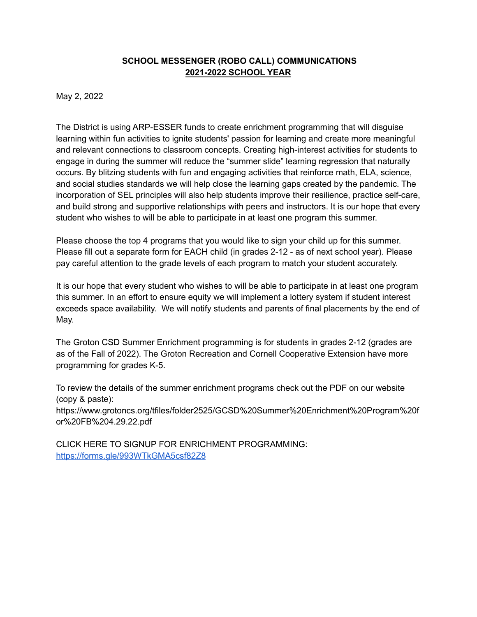## **SCHOOL MESSENGER (ROBO CALL) COMMUNICATIONS 2021-2022 SCHOOL YEAR**

May 2, 2022

The District is using ARP-ESSER funds to create enrichment programming that will disguise learning within fun activities to ignite students' passion for learning and create more meaningful and relevant connections to classroom concepts. Creating high-interest activities for students to engage in during the summer will reduce the "summer slide" learning regression that naturally occurs. By blitzing students with fun and engaging activities that reinforce math, ELA, science, and social studies standards we will help close the learning gaps created by the pandemic. The incorporation of SEL principles will also help students improve their resilience, practice self-care, and build strong and supportive relationships with peers and instructors. It is our hope that every student who wishes to will be able to participate in at least one program this summer.

Please choose the top 4 programs that you would like to sign your child up for this summer. Please fill out a separate form for EACH child (in grades 2-12 - as of next school year). Please pay careful attention to the grade levels of each program to match your student accurately.

It is our hope that every student who wishes to will be able to participate in at least one program this summer. In an effort to ensure equity we will implement a lottery system if student interest exceeds space availability. We will notify students and parents of final placements by the end of May.

The Groton CSD Summer Enrichment programming is for students in grades 2-12 (grades are as of the Fall of 2022). The Groton Recreation and Cornell Cooperative Extension have more programming for grades K-5.

To review the details of the summer enrichment programs check out the PDF on our website (copy & paste):

https://www.grotoncs.org/tfiles/folder2525/GCSD%20Summer%20Enrichment%20Program%20f or%20FB%204.29.22.pdf

CLICK HERE TO SIGNUP FOR ENRICHMENT PROGRAMMING: <https://forms.gle/993WTkGMA5csf82Z8>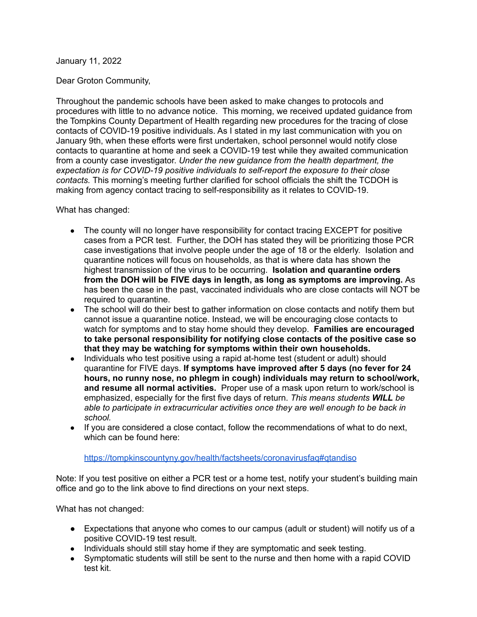#### January 11, 2022

### Dear Groton Community,

Throughout the pandemic schools have been asked to make changes to protocols and procedures with little to no advance notice. This morning, we received updated guidance from the Tompkins County Department of Health regarding new procedures for the tracing of close contacts of COVID-19 positive individuals. As I stated in my last communication with you on January 9th, when these efforts were first undertaken, school personnel would notify close contacts to quarantine at home and seek a COVID-19 test while they awaited communication from a county case investigator. *Under the new guidance from the health department, the expectation is for COVID-19 positive individuals to self-report the exposure to their close contacts.* This morning's meeting further clarified for school officials the shift the TCDOH is making from agency contact tracing to self-responsibility as it relates to COVID-19.

### What has changed:

- The county will no longer have responsibility for contact tracing EXCEPT for positive cases from a PCR test. Further, the DOH has stated they will be prioritizing those PCR case investigations that involve people under the age of 18 or the elderly. Isolation and quarantine notices will focus on households, as that is where data has shown the highest transmission of the virus to be occurring. **Isolation and quarantine orders from the DOH will be FIVE days in length, as long as symptoms are improving.** As has been the case in the past, vaccinated individuals who are close contacts will NOT be required to quarantine.
- The school will do their best to gather information on close contacts and notify them but cannot issue a quarantine notice. Instead, we will be encouraging close contacts to watch for symptoms and to stay home should they develop. **Families are encouraged to take personal responsibility for notifying close contacts of the positive case so that they may be watching for symptoms within their own households.**
- Individuals who test positive using a rapid at-home test (student or adult) should quarantine for FIVE days. **If symptoms have improved after 5 days (no fever for 24 hours, no runny nose, no phlegm in cough) individuals may return to school/work, and resume all normal activities.** Proper use of a mask upon return to work/school is emphasized, especially for the first five days of return. *This means students WILL be able to participate in extracurricular activities once they are well enough to be back in school.*
- If you are considered a close contact, follow the recommendations of what to do next, which can be found here:

### <https://tompkinscountyny.gov/health/factsheets/coronavirusfaq#qtandiso>

Note: If you test positive on either a PCR test or a home test, notify your student's building main office and go to the link above to find directions on your next steps.

What has not changed:

- Expectations that anyone who comes to our campus (adult or student) will notify us of a positive COVID-19 test result.
- Individuals should still stay home if they are symptomatic and seek testing.
- Symptomatic students will still be sent to the nurse and then home with a rapid COVID test kit.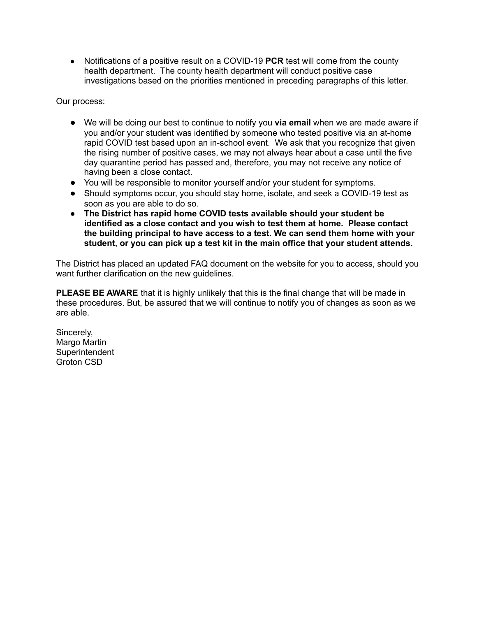● Notifications of a positive result on a COVID-19 **PCR** test will come from the county health department. The county health department will conduct positive case investigations based on the priorities mentioned in preceding paragraphs of this letter.

Our process:

- We will be doing our best to continue to notify you **via email** when we are made aware if you and/or your student was identified by someone who tested positive via an at-home rapid COVID test based upon an in-school event. We ask that you recognize that given the rising number of positive cases, we may not always hear about a case until the five day quarantine period has passed and, therefore, you may not receive any notice of having been a close contact.
- You will be responsible to monitor yourself and/or your student for symptoms.
- Should symptoms occur, you should stay home, isolate, and seek a COVID-19 test as soon as you are able to do so.
- **● The District has rapid home COVID tests available should your student be identified as a close contact and you wish to test them at home. Please contact the building principal to have access to a test. We can send them home with your student, or you can pick up a test kit in the main office that your student attends.**

The District has placed an updated FAQ document on the website for you to access, should you want further clarification on the new guidelines.

**PLEASE BE AWARE** that it is highly unlikely that this is the final change that will be made in these procedures. But, be assured that we will continue to notify you of changes as soon as we are able.

Sincerely, Margo Martin **Superintendent** Groton CSD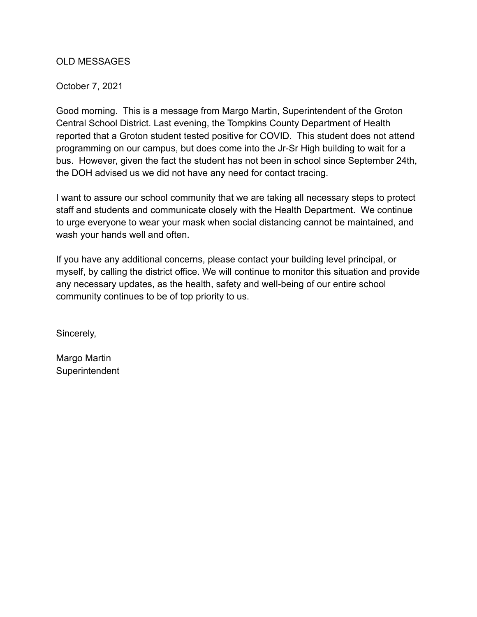# OLD MESSAGES

## October 7, 2021

Good morning. This is a message from Margo Martin, Superintendent of the Groton Central School District. Last evening, the Tompkins County Department of Health reported that a Groton student tested positive for COVID. This student does not attend programming on our campus, but does come into the Jr-Sr High building to wait for a bus. However, given the fact the student has not been in school since September 24th, the DOH advised us we did not have any need for contact tracing.

I want to assure our school community that we are taking all necessary steps to protect staff and students and communicate closely with the Health Department. We continue to urge everyone to wear your mask when social distancing cannot be maintained, and wash your hands well and often.

If you have any additional concerns, please contact your building level principal, or myself, by calling the district office. We will continue to monitor this situation and provide any necessary updates, as the health, safety and well-being of our entire school community continues to be of top priority to us.

Sincerely,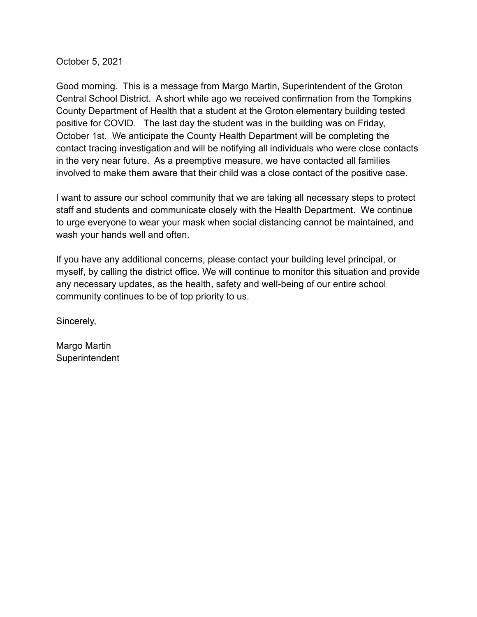October 5, 2021

Good morning. This is a message from Margo Martin, Superintendent of the Groton Central School District. A short while ago we received confirmation from the Tompkins County Department of Health that a student at the Groton elementary building tested positive for COVID. The last day the student was in the building was on Friday, October 1st. We anticipate the County Health Department will be completing the contact tracing investigation and will be notifying all individuals who were close contacts in the very near future. As a preemptive measure, we have contacted all families involved to make them aware that their child was a close contact of the positive case.

I want to assure our school community that we are taking all necessary steps to protect staff and students and communicate closely with the Health Department. We continue to urge everyone to wear your mask when social distancing cannot be maintained, and wash your hands well and often.

If you have any additional concerns, please contact your building level principal, or myself, by calling the district office. We will continue to monitor this situation and provide any necessary updates, as the health, safety and well-being of our entire school community continues to be of top priority to us.

Sincerely,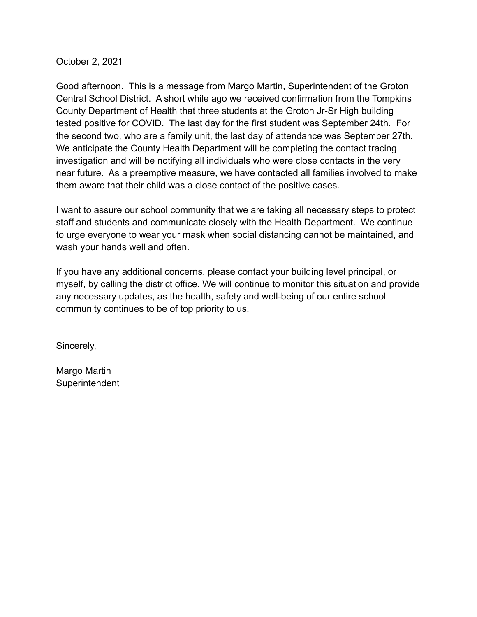October 2, 2021

Good afternoon. This is a message from Margo Martin, Superintendent of the Groton Central School District. A short while ago we received confirmation from the Tompkins County Department of Health that three students at the Groton Jr-Sr High building tested positive for COVID. The last day for the first student was September 24th. For the second two, who are a family unit, the last day of attendance was September 27th. We anticipate the County Health Department will be completing the contact tracing investigation and will be notifying all individuals who were close contacts in the very near future. As a preemptive measure, we have contacted all families involved to make them aware that their child was a close contact of the positive cases.

I want to assure our school community that we are taking all necessary steps to protect staff and students and communicate closely with the Health Department. We continue to urge everyone to wear your mask when social distancing cannot be maintained, and wash your hands well and often.

If you have any additional concerns, please contact your building level principal, or myself, by calling the district office. We will continue to monitor this situation and provide any necessary updates, as the health, safety and well-being of our entire school community continues to be of top priority to us.

Sincerely,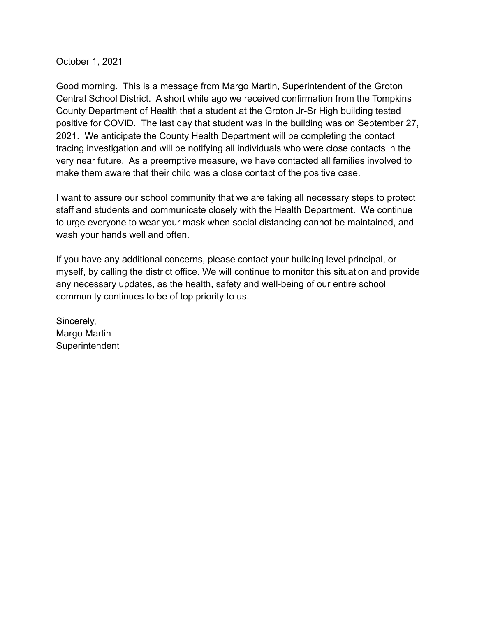October 1, 2021

Good morning. This is a message from Margo Martin, Superintendent of the Groton Central School District. A short while ago we received confirmation from the Tompkins County Department of Health that a student at the Groton Jr-Sr High building tested positive for COVID. The last day that student was in the building was on September 27, 2021. We anticipate the County Health Department will be completing the contact tracing investigation and will be notifying all individuals who were close contacts in the very near future. As a preemptive measure, we have contacted all families involved to make them aware that their child was a close contact of the positive case.

I want to assure our school community that we are taking all necessary steps to protect staff and students and communicate closely with the Health Department. We continue to urge everyone to wear your mask when social distancing cannot be maintained, and wash your hands well and often.

If you have any additional concerns, please contact your building level principal, or myself, by calling the district office. We will continue to monitor this situation and provide any necessary updates, as the health, safety and well-being of our entire school community continues to be of top priority to us.

Sincerely, Margo Martin **Superintendent**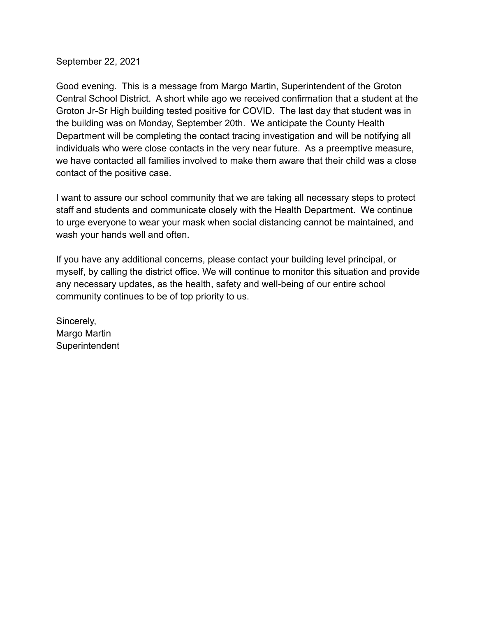September 22, 2021

Good evening. This is a message from Margo Martin, Superintendent of the Groton Central School District. A short while ago we received confirmation that a student at the Groton Jr-Sr High building tested positive for COVID. The last day that student was in the building was on Monday, September 20th. We anticipate the County Health Department will be completing the contact tracing investigation and will be notifying all individuals who were close contacts in the very near future. As a preemptive measure, we have contacted all families involved to make them aware that their child was a close contact of the positive case.

I want to assure our school community that we are taking all necessary steps to protect staff and students and communicate closely with the Health Department. We continue to urge everyone to wear your mask when social distancing cannot be maintained, and wash your hands well and often.

If you have any additional concerns, please contact your building level principal, or myself, by calling the district office. We will continue to monitor this situation and provide any necessary updates, as the health, safety and well-being of our entire school community continues to be of top priority to us.

Sincerely, Margo Martin **Superintendent**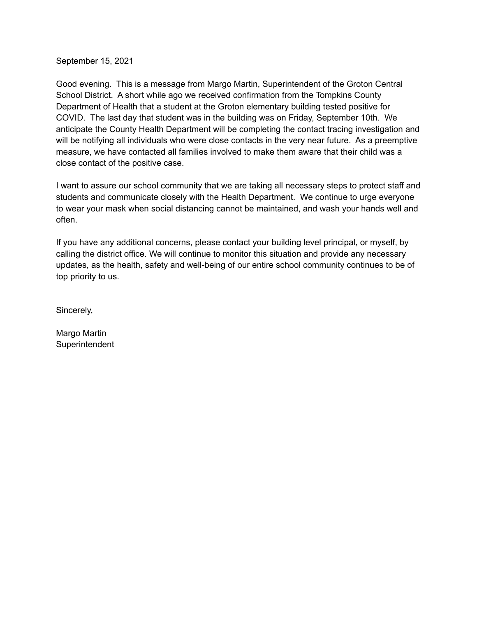September 15, 2021

Good evening. This is a message from Margo Martin, Superintendent of the Groton Central School District. A short while ago we received confirmation from the Tompkins County Department of Health that a student at the Groton elementary building tested positive for COVID. The last day that student was in the building was on Friday, September 10th. We anticipate the County Health Department will be completing the contact tracing investigation and will be notifying all individuals who were close contacts in the very near future. As a preemptive measure, we have contacted all families involved to make them aware that their child was a close contact of the positive case.

I want to assure our school community that we are taking all necessary steps to protect staff and students and communicate closely with the Health Department. We continue to urge everyone to wear your mask when social distancing cannot be maintained, and wash your hands well and often.

If you have any additional concerns, please contact your building level principal, or myself, by calling the district office. We will continue to monitor this situation and provide any necessary updates, as the health, safety and well-being of our entire school community continues to be of top priority to us.

Sincerely,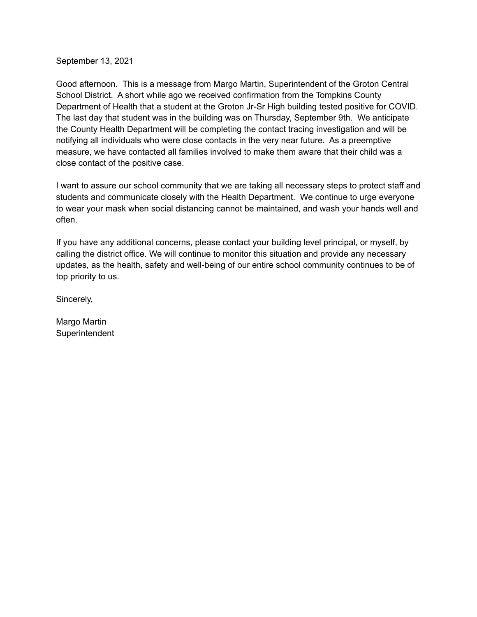September 13, 2021

Good afternoon. This is a message from Margo Martin, Superintendent of the Groton Central School District. A short while ago we received confirmation from the Tompkins County Department of Health that a student at the Groton Jr-Sr High building tested positive for COVID. The last day that student was in the building was on Thursday, September 9th. We anticipate the County Health Department will be completing the contact tracing investigation and will be notifying all individuals who were close contacts in the very near future. As a preemptive measure, we have contacted all families involved to make them aware that their child was a close contact of the positive case.

I want to assure our school community that we are taking all necessary steps to protect staff and students and communicate closely with the Health Department. We continue to urge everyone to wear your mask when social distancing cannot be maintained, and wash your hands well and often.

If you have any additional concerns, please contact your building level principal, or myself, by calling the district office. We will continue to monitor this situation and provide any necessary updates, as the health, safety and well-being of our entire school community continues to be of top priority to us.

Sincerely,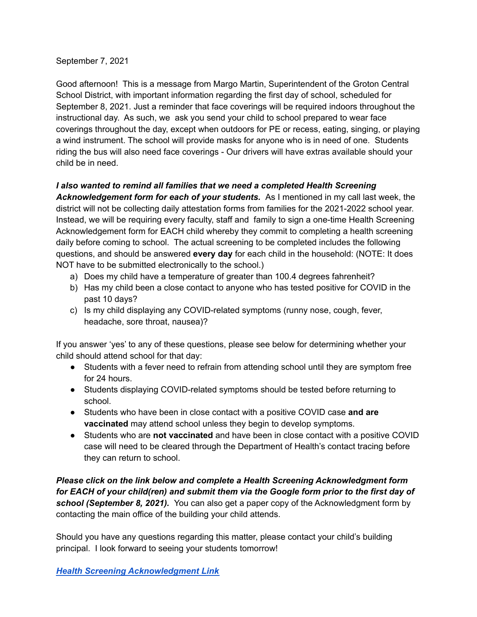## September 7, 2021

Good afternoon! This is a message from Margo Martin, Superintendent of the Groton Central School District, with important information regarding the first day of school, scheduled for September 8, 2021. Just a reminder that face coverings will be required indoors throughout the instructional day. As such, we ask you send your child to school prepared to wear face coverings throughout the day, except when outdoors for PE or recess, eating, singing, or playing a wind instrument. The school will provide masks for anyone who is in need of one. Students riding the bus will also need face coverings - Our drivers will have extras available should your child be in need.

# *I also wanted to remind all families that we need a completed Health Screening*

*Acknowledgement form for each of your students.* As I mentioned in my call last week, the district will not be collecting daily attestation forms from families for the 2021-2022 school year. Instead, we will be requiring every faculty, staff and family to sign a one-time Health Screening Acknowledgement form for EACH child whereby they commit to completing a health screening daily before coming to school. The actual screening to be completed includes the following questions, and should be answered **every day** for each child in the household: (NOTE: It does NOT have to be submitted electronically to the school.)

- a) Does my child have a temperature of greater than 100.4 degrees fahrenheit?
- b) Has my child been a close contact to anyone who has tested positive for COVID in the past 10 days?
- c) Is my child displaying any COVID-related symptoms (runny nose, cough, fever, headache, sore throat, nausea)?

If you answer 'yes' to any of these questions, please see below for determining whether your child should attend school for that day:

- Students with a fever need to refrain from attending school until they are symptom free for 24 hours.
- Students displaying COVID-related symptoms should be tested before returning to school.
- Students who have been in close contact with a positive COVID case **and are vaccinated** may attend school unless they begin to develop symptoms.
- Students who are **not vaccinated** and have been in close contact with a positive COVID case will need to be cleared through the Department of Health's contact tracing before they can return to school.

*Please click on the link below and complete a Health Screening Acknowledgment form for EACH of your child(ren) and submit them via the Google form prior to the first day of school (September 8, 2021).* You can also get a paper copy of the Acknowledgment form by contacting the main office of the building your child attends.

Should you have any questions regarding this matter, please contact your child's building principal. I look forward to seeing your students tomorrow!

*Health Screening [Acknowledgment](https://forms.gle/cfVWHSTGrmjTdcDGA) Link*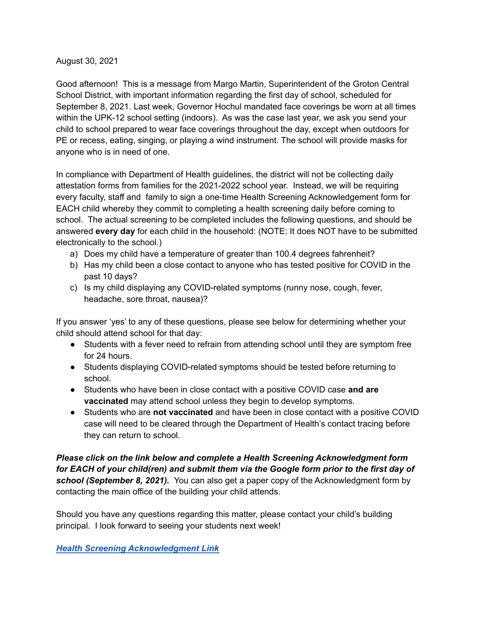## August 30, 2021

Good afternoon! This is a message from Margo Martin, Superintendent of the Groton Central School District, with important information regarding the first day of school, scheduled for September 8, 2021. Last week, Governor Hochul mandated face coverings be worn at all times within the UPK-12 school setting (indoors). As was the case last year, we ask you send your child to school prepared to wear face coverings throughout the day, except when outdoors for PE or recess, eating, singing, or playing a wind instrument. The school will provide masks for anyone who is in need of one.

In compliance with Department of Health guidelines, the district will not be collecting daily attestation forms from families for the 2021-2022 school year. Instead, we will be requiring every faculty, staff and family to sign a one-time Health Screening Acknowledgement form for EACH child whereby they commit to completing a health screening daily before coming to school. The actual screening to be completed includes the following questions, and should be answered **every day** for each child in the household: (NOTE: It does NOT have to be submitted electronically to the school.)

- a) Does my child have a temperature of greater than 100.4 degrees fahrenheit?
- b) Has my child been a close contact to anyone who has tested positive for COVID in the past 10 days?
- c) Is my child displaying any COVID-related symptoms (runny nose, cough, fever, headache, sore throat, nausea)?

If you answer 'yes' to any of these questions, please see below for determining whether your child should attend school for that day:

- Students with a fever need to refrain from attending school until they are symptom free for 24 hours.
- Students displaying COVID-related symptoms should be tested before returning to school.
- Students who have been in close contact with a positive COVID case **and are vaccinated** may attend school unless they begin to develop symptoms.
- Students who are **not vaccinated** and have been in close contact with a positive COVID case will need to be cleared through the Department of Health's contact tracing before they can return to school.

*Please click on the link below and complete a Health Screening Acknowledgment form for EACH of your child(ren) and submit them via the Google form prior to the first day of school (September 8, 2021).* You can also get a paper copy of the Acknowledgment form by contacting the main office of the building your child attends.

Should you have any questions regarding this matter, please contact your child's building principal. I look forward to seeing your students next week!

*Health Screening [Acknowledgment](https://forms.gle/cfVWHSTGrmjTdcDGA) Link*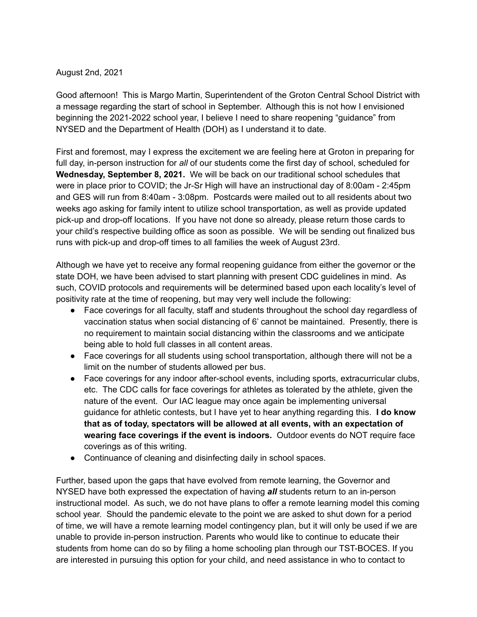## August 2nd, 2021

Good afternoon! This is Margo Martin, Superintendent of the Groton Central School District with a message regarding the start of school in September. Although this is not how I envisioned beginning the 2021-2022 school year, I believe I need to share reopening "guidance" from NYSED and the Department of Health (DOH) as I understand it to date.

First and foremost, may I express the excitement we are feeling here at Groton in preparing for full day, in-person instruction for *all* of our students come the first day of school, scheduled for **Wednesday, September 8, 2021.** We will be back on our traditional school schedules that were in place prior to COVID; the Jr-Sr High will have an instructional day of 8:00am - 2:45pm and GES will run from 8:40am - 3:08pm. Postcards were mailed out to all residents about two weeks ago asking for family intent to utilize school transportation, as well as provide updated pick-up and drop-off locations. If you have not done so already, please return those cards to your child's respective building office as soon as possible. We will be sending out finalized bus runs with pick-up and drop-off times to all families the week of August 23rd.

Although we have yet to receive any formal reopening guidance from either the governor or the state DOH, we have been advised to start planning with present CDC guidelines in mind. As such, COVID protocols and requirements will be determined based upon each locality's level of positivity rate at the time of reopening, but may very well include the following:

- Face coverings for all faculty, staff and students throughout the school day regardless of vaccination status when social distancing of 6' cannot be maintained. Presently, there is no requirement to maintain social distancing within the classrooms and we anticipate being able to hold full classes in all content areas.
- Face coverings for all students using school transportation, although there will not be a limit on the number of students allowed per bus.
- Face coverings for any indoor after-school events, including sports, extracurricular clubs, etc. The CDC calls for face coverings for athletes as tolerated by the athlete, given the nature of the event. Our IAC league may once again be implementing universal guidance for athletic contests, but I have yet to hear anything regarding this. **I do know that as of today, spectators will be allowed at all events, with an expectation of wearing face coverings if the event is indoors.** Outdoor events do NOT require face coverings as of this writing.
- Continuance of cleaning and disinfecting daily in school spaces.

Further, based upon the gaps that have evolved from remote learning, the Governor and NYSED have both expressed the expectation of having *all* students return to an in-person instructional model. As such, we do not have plans to offer a remote learning model this coming school year. Should the pandemic elevate to the point we are asked to shut down for a period of time, we will have a remote learning model contingency plan, but it will only be used if we are unable to provide in-person instruction. Parents who would like to continue to educate their students from home can do so by filing a home schooling plan through our TST-BOCES. If you are interested in pursuing this option for your child, and need assistance in who to contact to